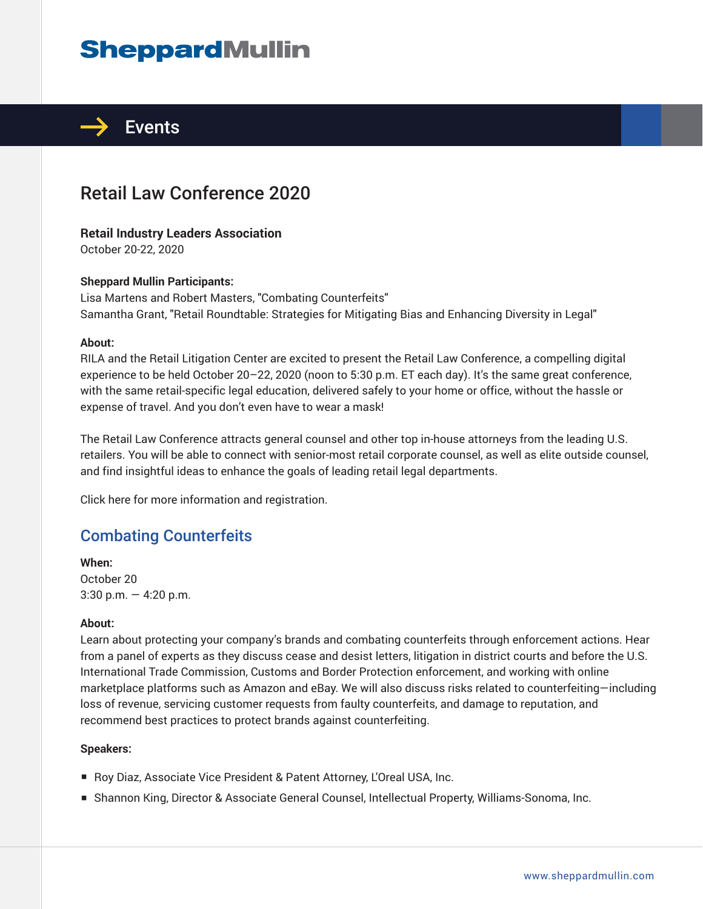# **SheppardMullin**



## Retail Law Conference 2020

### **Retail Industry Leaders Association**

October 20-22, 2020

### **Sheppard Mullin Participants:**

Lisa Martens and Robert Masters, "Combating Counterfeits" Samantha Grant, "Retail Roundtable: Strategies for Mitigating Bias and Enhancing Diversity in Legal"

#### **About:**

RILA and the Retail Litigation Center are excited to present the Retail Law Conference, a compelling digital experience to be held October 20–22, 2020 (noon to 5:30 p.m. ET each day). It's the same great conference, with the same retail-specific legal education, delivered safely to your home or office, without the hassle or expense of travel. And you don't even have to wear a mask!

The Retail Law Conference attracts general counsel and other top in-house attorneys from the leading U.S. retailers. You will be able to connect with senior-most retail corporate counsel, as well as elite outside counsel, and find insightful ideas to enhance the goals of leading retail legal departments.

Click here for more information and registration.

### Combating Counterfeits

**When:**  October 20 3:30 p.m.  $-$  4:20 p.m.

#### **About:**

Learn about protecting your company's brands and combating counterfeits through enforcement actions. Hear from a panel of experts as they discuss cease and desist letters, litigation in district courts and before the U.S. International Trade Commission, Customs and Border Protection enforcement, and working with online marketplace platforms such as Amazon and eBay. We will also discuss risks related to counterfeiting—including loss of revenue, servicing customer requests from faulty counterfeits, and damage to reputation, and recommend best practices to protect brands against counterfeiting.

#### **Speakers:**

- Roy Diaz, Associate Vice President & Patent Attorney, L'Oreal USA, Inc.
- Shannon King, Director & Associate General Counsel, Intellectual Property, Williams-Sonoma, Inc.